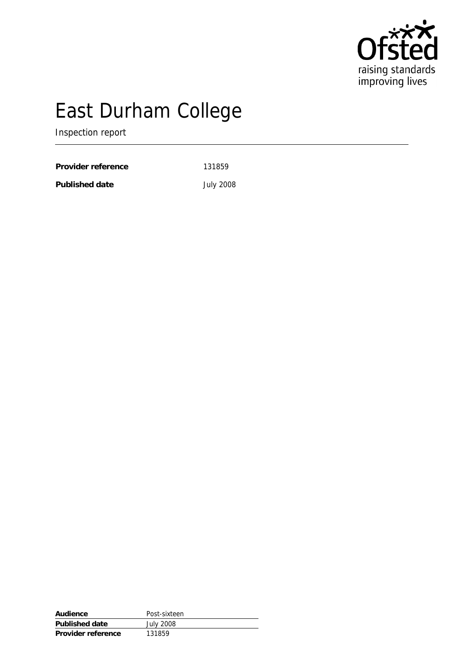

# East Durham College

Inspection report

Provider reference 131859

Published date **July 2008** 

| Audience           | Post-sixteen     |
|--------------------|------------------|
| Published date     | <b>July 2008</b> |
| Provider reference | 131859           |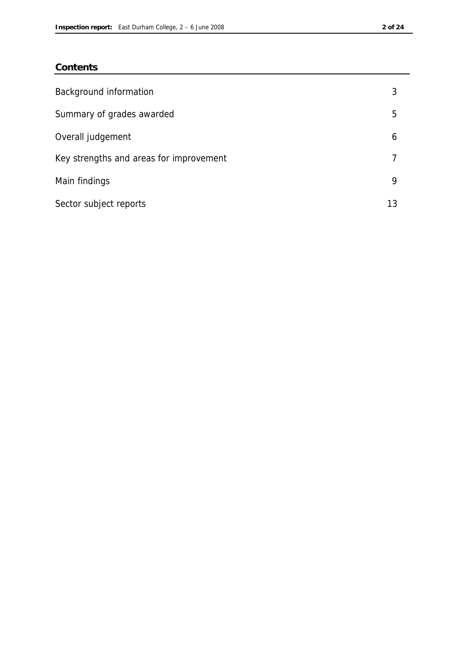### **Contents**

| Background information                  | 3  |
|-----------------------------------------|----|
| Summary of grades awarded               | 5  |
| Overall judgement                       | 6  |
| Key strengths and areas for improvement |    |
| Main findings                           | 9  |
| Sector subject reports                  | 13 |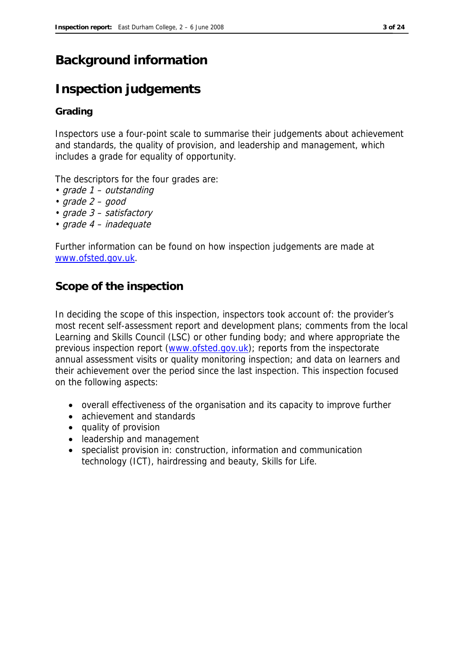# **Background information**

# **Inspection judgements**

#### **Grading**

Inspectors use a four-point scale to summarise their judgements about achievement and standards, the quality of provision, and leadership and management, which includes a grade for equality of opportunity.

The descriptors for the four grades are:

- grade 1 outstanding
- $grade 2 good$
- grade 3 satisfactory
- grade 4 inadequate

Further information can be found on how inspection judgements are made at www.ofsted.gov.uk.

### **Scope of the inspection**

In deciding the scope of this inspection, inspectors took account of: the provider's most recent self-assessment report and development plans; comments from the local Learning and Skills Council (LSC) or other funding body; and where appropriate the previous inspection report (www.ofsted.gov.uk); reports from the inspectorate annual assessment visits or quality monitoring inspection; and data on learners and their achievement over the period since the last inspection. This inspection focused on the following aspects:

- overall effectiveness of the organisation and its capacity to improve further
- achievement and standards
- quality of provision
- leadership and management
- specialist provision in: construction, information and communication technology (ICT), hairdressing and beauty, Skills for Life.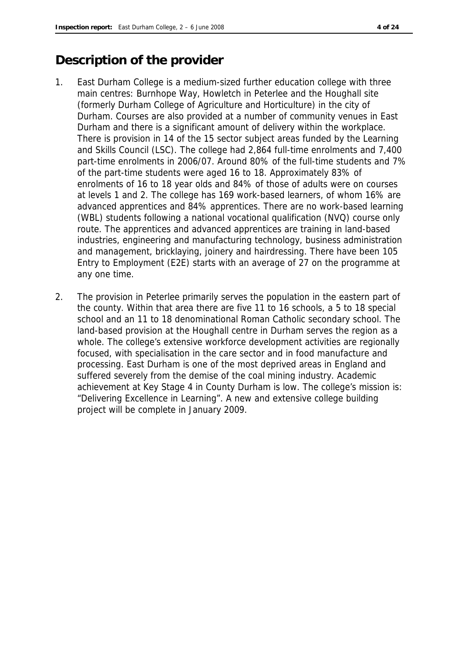## **Description of the provider**

- 1. East Durham College is a medium-sized further education college with three main centres: Burnhope Way, Howletch in Peterlee and the Houghall site (formerly Durham College of Agriculture and Horticulture) in the city of Durham. Courses are also provided at a number of community venues in East Durham and there is a significant amount of delivery within the workplace. There is provision in 14 of the 15 sector subject areas funded by the Learning and Skills Council (LSC). The college had 2,864 full-time enrolments and 7,400 part-time enrolments in 2006/07. Around 80% of the full-time students and 7% of the part-time students were aged 16 to 18. Approximately 83% of enrolments of 16 to 18 year olds and 84% of those of adults were on courses at levels 1 and 2. The college has 169 work-based learners, of whom 16% are advanced apprentices and 84% apprentices. There are no work-based learning (WBL) students following a national vocational qualification (NVQ) course only route. The apprentices and advanced apprentices are training in land-based industries, engineering and manufacturing technology, business administration and management, bricklaying, joinery and hairdressing. There have been 105 Entry to Employment (E2E) starts with an average of 27 on the programme at any one time.
- 2. The provision in Peterlee primarily serves the population in the eastern part of the county. Within that area there are five 11 to 16 schools, a 5 to 18 special school and an 11 to 18 denominational Roman Catholic secondary school. The land-based provision at the Houghall centre in Durham serves the region as a whole. The college's extensive workforce development activities are regionally focused, with specialisation in the care sector and in food manufacture and processing. East Durham is one of the most deprived areas in England and suffered severely from the demise of the coal mining industry. Academic achievement at Key Stage 4 in County Durham is low. The college's mission is: "Delivering Excellence in Learning". A new and extensive college building project will be complete in January 2009.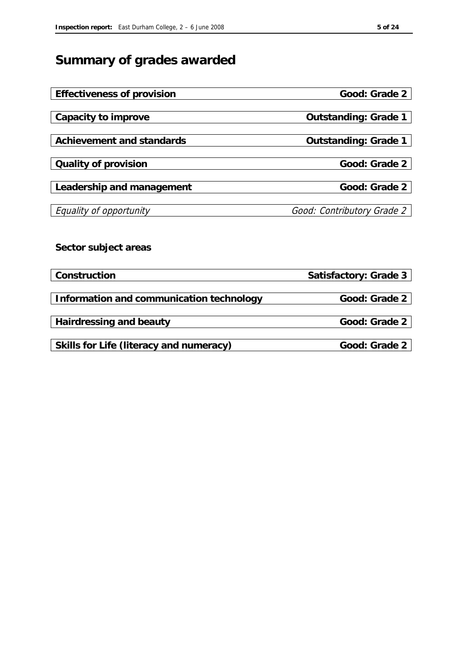# **Summary of grades awarded**

| Effectiveness of provision               | Good: Grade 2              |
|------------------------------------------|----------------------------|
|                                          |                            |
| Capacity to improve                      | Outstanding: Grade 1       |
|                                          |                            |
| Achievement and standards                | Outstanding: Grade 1       |
|                                          |                            |
| Quality of provision                     | Good: Grade 2              |
|                                          |                            |
| Leadership and management                | Good: Grade 2              |
|                                          |                            |
| Equality of opportunity                  | Good: Contributory Grade 2 |
|                                          |                            |
|                                          |                            |
| Sector subject areas                     |                            |
|                                          |                            |
| Construction                             | Satisfactory: Grade 3      |
|                                          |                            |
| Information and communication technology | Good: Grade 2              |
|                                          |                            |
| Hairdressing and beauty                  | Good: Grade 2              |
|                                          |                            |
| Skills for Life (literacy and numeracy)  | Good: Grade 2              |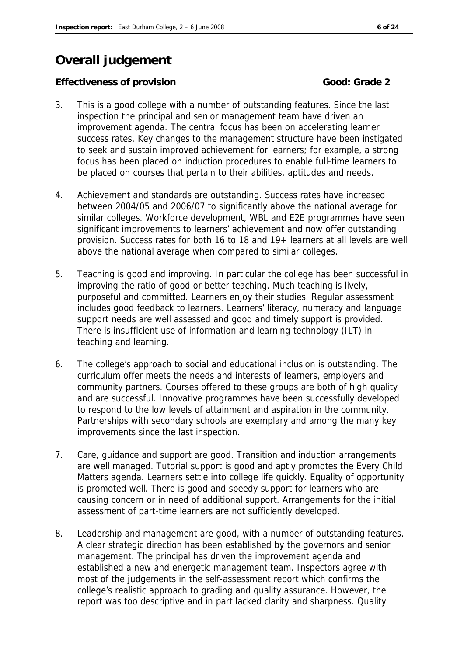# **Overall judgement**

#### **Effectiveness of provision** Good: Grade 2

- 3. This is a good college with a number of outstanding features. Since the last inspection the principal and senior management team have driven an improvement agenda. The central focus has been on accelerating learner success rates. Key changes to the management structure have been instigated to seek and sustain improved achievement for learners; for example, a strong focus has been placed on induction procedures to enable full-time learners to be placed on courses that pertain to their abilities, aptitudes and needs.
- 4. Achievement and standards are outstanding. Success rates have increased between 2004/05 and 2006/07 to significantly above the national average for similar colleges. Workforce development, WBL and E2E programmes have seen significant improvements to learners' achievement and now offer outstanding provision. Success rates for both 16 to 18 and 19+ learners at all levels are well above the national average when compared to similar colleges.
- 5. Teaching is good and improving. In particular the college has been successful in improving the ratio of good or better teaching. Much teaching is lively, purposeful and committed. Learners enjoy their studies. Regular assessment includes good feedback to learners. Learners' literacy, numeracy and language support needs are well assessed and good and timely support is provided. There is insufficient use of information and learning technology (ILT) in teaching and learning.
- 6. The college's approach to social and educational inclusion is outstanding. The curriculum offer meets the needs and interests of learners, employers and community partners. Courses offered to these groups are both of high quality and are successful. Innovative programmes have been successfully developed to respond to the low levels of attainment and aspiration in the community. Partnerships with secondary schools are exemplary and among the many key improvements since the last inspection.
- 7. Care, guidance and support are good. Transition and induction arrangements are well managed. Tutorial support is good and aptly promotes the Every Child Matters agenda. Learners settle into college life quickly. Equality of opportunity is promoted well. There is good and speedy support for learners who are causing concern or in need of additional support. Arrangements for the initial assessment of part-time learners are not sufficiently developed.
- 8. Leadership and management are good, with a number of outstanding features. A clear strategic direction has been established by the governors and senior management. The principal has driven the improvement agenda and established a new and energetic management team. Inspectors agree with most of the judgements in the self-assessment report which confirms the college's realistic approach to grading and quality assurance. However, the report was too descriptive and in part lacked clarity and sharpness. Quality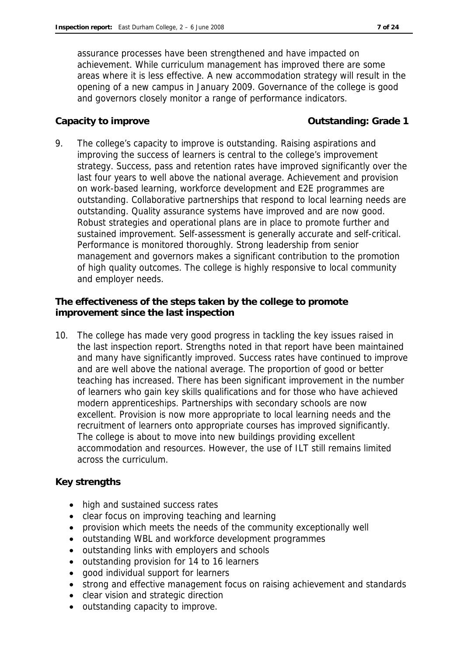assurance processes have been strengthened and have impacted on achievement. While curriculum management has improved there are some areas where it is less effective. A new accommodation strategy will result in the opening of a new campus in January 2009. Governance of the college is good and governors closely monitor a range of performance indicators.

**Capacity to improve Capacity to improve Capacity to improve Capacity to improve Capacity C** 

9. The college's capacity to improve is outstanding. Raising aspirations and improving the success of learners is central to the college's improvement strategy. Success, pass and retention rates have improved significantly over the last four years to well above the national average. Achievement and provision on work-based learning, workforce development and E2E programmes are outstanding. Collaborative partnerships that respond to local learning needs are outstanding. Quality assurance systems have improved and are now good. Robust strategies and operational plans are in place to promote further and sustained improvement. Self-assessment is generally accurate and self-critical. Performance is monitored thoroughly. Strong leadership from senior management and governors makes a significant contribution to the promotion of high quality outcomes. The college is highly responsive to local community and employer needs.

**The effectiveness of the steps taken by the college to promote improvement since the last inspection**

10. The college has made very good progress in tackling the key issues raised in the last inspection report. Strengths noted in that report have been maintained and many have significantly improved. Success rates have continued to improve and are well above the national average. The proportion of good or better teaching has increased. There has been significant improvement in the number of learners who gain key skills qualifications and for those who have achieved modern apprenticeships. Partnerships with secondary schools are now excellent. Provision is now more appropriate to local learning needs and the recruitment of learners onto appropriate courses has improved significantly. The college is about to move into new buildings providing excellent accommodation and resources. However, the use of ILT still remains limited across the curriculum.

#### **Key strengths**

- high and sustained success rates
- clear focus on improving teaching and learning
- provision which meets the needs of the community exceptionally well
- outstanding WBL and workforce development programmes
- outstanding links with employers and schools
- outstanding provision for 14 to 16 learners
- good individual support for learners
- strong and effective management focus on raising achievement and standards
- clear vision and strategic direction
- outstanding capacity to improve.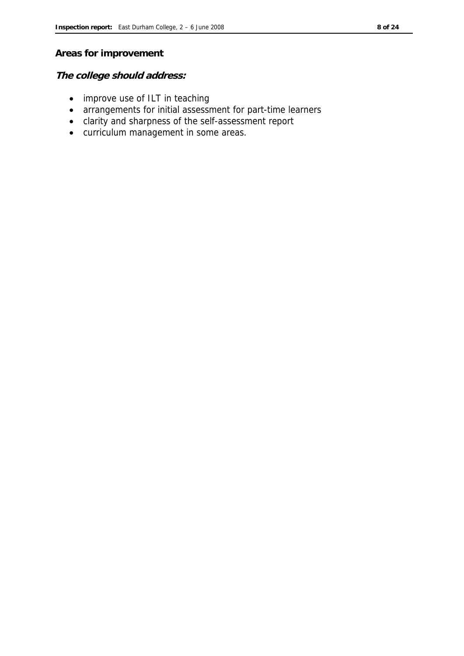#### **Areas for improvement**

**The college should address:**

- improve use of ILT in teaching
- arrangements for initial assessment for part-time learners
- clarity and sharpness of the self-assessment report
- curriculum management in some areas.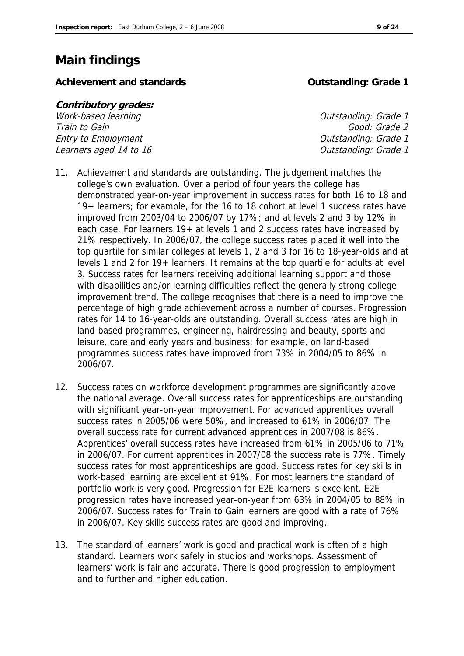# **Main findings**

Achievement and standards **Container and Standards Container and Standards Container and Achievement** and Standards **Container and Achievement** and Standards **Container and Achievement** and Standards **Container and Sta** 

| <i>Contributory grades:</i> |                      |
|-----------------------------|----------------------|
| Work-based learning         | Outstanding: Grade 1 |
| Train to Gain               | Good: Grade 2        |
| Entry to Employment         | Outstanding: Grade 1 |
| Learners aged 14 to 16      | Outstanding: Grade 1 |

- 11. Achievement and standards are outstanding. The judgement matches the college's own evaluation. Over a period of four years the college has demonstrated year-on-year improvement in success rates for both 16 to 18 and 19+ learners; for example, for the 16 to 18 cohort at level 1 success rates have improved from 2003/04 to 2006/07 by 17%; and at levels 2 and 3 by 12% in each case. For learners 19+ at levels 1 and 2 success rates have increased by 21% respectively. In 2006/07, the college success rates placed it well into the top quartile for similar colleges at levels 1, 2 and 3 for 16 to 18-year-olds and at levels 1 and 2 for 19+ learners. It remains at the top quartile for adults at level 3. Success rates for learners receiving additional learning support and those with disabilities and/or learning difficulties reflect the generally strong college improvement trend. The college recognises that there is a need to improve the percentage of high grade achievement across a number of courses. Progression rates for 14 to 16-year-olds are outstanding. Overall success rates are high in land-based programmes, engineering, hairdressing and beauty, sports and leisure, care and early years and business; for example, on land-based programmes success rates have improved from 73% in 2004/05 to 86% in 2006/07.
- 12. Success rates on workforce development programmes are significantly above the national average. Overall success rates for apprenticeships are outstanding with significant year-on-year improvement. For advanced apprentices overall success rates in 2005/06 were 50%, and increased to 61% in 2006/07. The overall success rate for current advanced apprentices in 2007/08 is 86%. Apprentices' overall success rates have increased from 61% in 2005/06 to 71% in 2006/07. For current apprentices in 2007/08 the success rate is 77%. Timely success rates for most apprenticeships are good. Success rates for key skills in work-based learning are excellent at 91%. For most learners the standard of portfolio work is very good. Progression for E2E learners is excellent. E2E progression rates have increased year-on-year from 63% in 2004/05 to 88% in 2006/07. Success rates for Train to Gain learners are good with a rate of 76% in 2006/07. Key skills success rates are good and improving.
- 13. The standard of learners' work is good and practical work is often of a high standard. Learners work safely in studios and workshops. Assessment of learners' work is fair and accurate. There is good progression to employment and to further and higher education.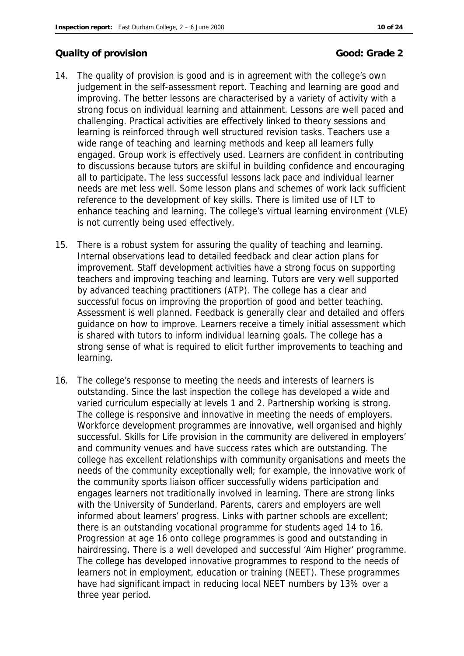#### **Quality of provision Good: Grade 2**

- 14. The quality of provision is good and is in agreement with the college's own judgement in the self-assessment report. Teaching and learning are good and improving. The better lessons are characterised by a variety of activity with a strong focus on individual learning and attainment. Lessons are well paced and challenging. Practical activities are effectively linked to theory sessions and learning is reinforced through well structured revision tasks. Teachers use a wide range of teaching and learning methods and keep all learners fully engaged. Group work is effectively used. Learners are confident in contributing to discussions because tutors are skilful in building confidence and encouraging all to participate. The less successful lessons lack pace and individual learner needs are met less well. Some lesson plans and schemes of work lack sufficient reference to the development of key skills. There is limited use of ILT to enhance teaching and learning. The college's virtual learning environment (VLE) is not currently being used effectively.
- 15. There is a robust system for assuring the quality of teaching and learning. Internal observations lead to detailed feedback and clear action plans for improvement. Staff development activities have a strong focus on supporting teachers and improving teaching and learning. Tutors are very well supported by advanced teaching practitioners (ATP). The college has a clear and successful focus on improving the proportion of good and better teaching. Assessment is well planned. Feedback is generally clear and detailed and offers guidance on how to improve. Learners receive a timely initial assessment which is shared with tutors to inform individual learning goals. The college has a strong sense of what is required to elicit further improvements to teaching and learning.
- 16. The college's response to meeting the needs and interests of learners is outstanding. Since the last inspection the college has developed a wide and varied curriculum especially at levels 1 and 2. Partnership working is strong. The college is responsive and innovative in meeting the needs of employers. Workforce development programmes are innovative, well organised and highly successful. Skills for Life provision in the community are delivered in employers' and community venues and have success rates which are outstanding. The college has excellent relationships with community organisations and meets the needs of the community exceptionally well; for example, the innovative work of the community sports liaison officer successfully widens participation and engages learners not traditionally involved in learning. There are strong links with the University of Sunderland. Parents, carers and employers are well informed about learners' progress. Links with partner schools are excellent; there is an outstanding vocational programme for students aged 14 to 16. Progression at age 16 onto college programmes is good and outstanding in hairdressing. There is a well developed and successful 'Aim Higher' programme. The college has developed innovative programmes to respond to the needs of learners not in employment, education or training (NEET). These programmes have had significant impact in reducing local NEET numbers by 13% over a three year period.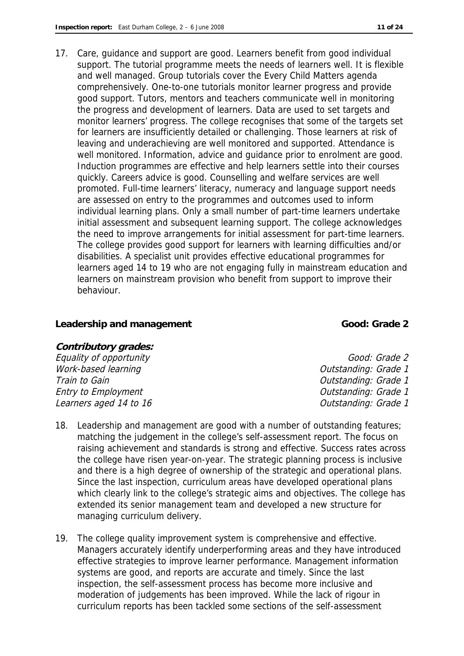17. Care, guidance and support are good. Learners benefit from good individual support. The tutorial programme meets the needs of learners well. It is flexible and well managed. Group tutorials cover the Every Child Matters agenda comprehensively. One-to-one tutorials monitor learner progress and provide good support. Tutors, mentors and teachers communicate well in monitoring the progress and development of learners. Data are used to set targets and monitor learners' progress. The college recognises that some of the targets set for learners are insufficiently detailed or challenging. Those learners at risk of leaving and underachieving are well monitored and supported. Attendance is well monitored. Information, advice and guidance prior to enrolment are good. Induction programmes are effective and help learners settle into their courses quickly. Careers advice is good. Counselling and welfare services are well promoted. Full-time learners' literacy, numeracy and language support needs are assessed on entry to the programmes and outcomes used to inform individual learning plans. Only a small number of part-time learners undertake initial assessment and subsequent learning support. The college acknowledges the need to improve arrangements for initial assessment for part-time learners. The college provides good support for learners with learning difficulties and/or disabilities. A specialist unit provides effective educational programmes for learners aged 14 to 19 who are not engaging fully in mainstream education and learners on mainstream provision who benefit from support to improve their behaviour.

#### Leadership and management **Cool**: Grade 2

**Contributory grades:** Equality of opportunity Equality of opportunity Work-based learning and the contract of the Current Counterpart of the Current Current Counterpart of the Current Current Current Current Current Current Current Current Current Current Current Current Current Current Curr Train to Gain Train to Gain Train to Gain Context Context of the Context Context Context Outstanding: Grade 1 Entry to Employment Controllering Controllering Controllering Controllering: Grade 1 Learners aged 14 to 16 and 16 and 16 and 16 and 16 and 16 and 16 and 16 and 16 and 16 and 16 and 16 and 16 and 1

- 
- 18. Leadership and management are good with a number of outstanding features; matching the judgement in the college's self-assessment report. The focus on raising achievement and standards is strong and effective. Success rates across the college have risen year-on-year. The strategic planning process is inclusive and there is a high degree of ownership of the strategic and operational plans. Since the last inspection, curriculum areas have developed operational plans which clearly link to the college's strategic aims and objectives. The college has extended its senior management team and developed a new structure for managing curriculum delivery.
- 19. The college quality improvement system is comprehensive and effective. Managers accurately identify underperforming areas and they have introduced effective strategies to improve learner performance. Management information systems are good, and reports are accurate and timely. Since the last inspection, the self-assessment process has become more inclusive and moderation of judgements has been improved. While the lack of rigour in curriculum reports has been tackled some sections of the self-assessment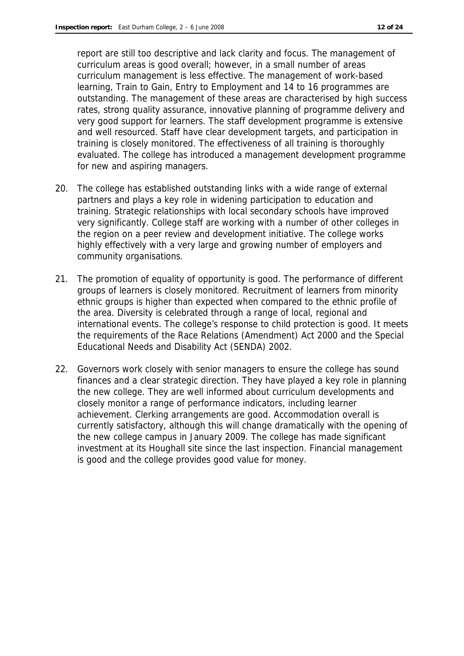report are still too descriptive and lack clarity and focus. The management of curriculum areas is good overall; however, in a small number of areas curriculum management is less effective. The management of work-based learning, Train to Gain, Entry to Employment and 14 to 16 programmes are outstanding. The management of these areas are characterised by high success rates, strong quality assurance, innovative planning of programme delivery and very good support for learners. The staff development programme is extensive and well resourced. Staff have clear development targets, and participation in training is closely monitored. The effectiveness of all training is thoroughly evaluated. The college has introduced a management development programme for new and aspiring managers.

- 20. The college has established outstanding links with a wide range of external partners and plays a key role in widening participation to education and training. Strategic relationships with local secondary schools have improved very significantly. College staff are working with a number of other colleges in the region on a peer review and development initiative. The college works highly effectively with a very large and growing number of employers and community organisations.
- 21. The promotion of equality of opportunity is good. The performance of different groups of learners is closely monitored. Recruitment of learners from minority ethnic groups is higher than expected when compared to the ethnic profile of the area. Diversity is celebrated through a range of local, regional and international events. The college's response to child protection is good. It meets the requirements of the Race Relations (Amendment) Act 2000 and the Special Educational Needs and Disability Act (SENDA) 2002.
- 22. Governors work closely with senior managers to ensure the college has sound finances and a clear strategic direction. They have played a key role in planning the new college. They are well informed about curriculum developments and closely monitor a range of performance indicators, including learner achievement. Clerking arrangements are good. Accommodation overall is currently satisfactory, although this will change dramatically with the opening of the new college campus in January 2009. The college has made significant investment at its Houghall site since the last inspection. Financial management is good and the college provides good value for money.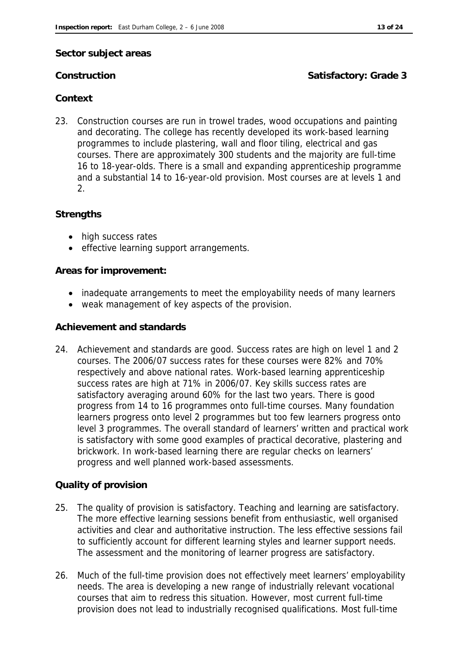#### **Sector subject areas**

#### **Construction Satisfactory: Grade 3**

#### **Context**

23. Construction courses are run in trowel trades, wood occupations and painting and decorating. The college has recently developed its work-based learning programmes to include plastering, wall and floor tiling, electrical and gas courses. There are approximately 300 students and the majority are full-time 16 to 18-year-olds. There is a small and expanding apprenticeship programme and a substantial 14 to 16-year-old provision. Most courses are at levels 1 and 2.

#### **Strengths**

- high success rates
- effective learning support arrangements.

#### **Areas for improvement:**

- inadequate arrangements to meet the employability needs of many learners
- weak management of key aspects of the provision.

#### **Achievement and standards**

24. Achievement and standards are good. Success rates are high on level 1 and 2 courses. The 2006/07 success rates for these courses were 82% and 70% respectively and above national rates. Work-based learning apprenticeship success rates are high at 71% in 2006/07. Key skills success rates are satisfactory averaging around 60% for the last two years. There is good progress from 14 to 16 programmes onto full-time courses. Many foundation learners progress onto level 2 programmes but too few learners progress onto level 3 programmes. The overall standard of learners' written and practical work is satisfactory with some good examples of practical decorative, plastering and brickwork. In work-based learning there are regular checks on learners' progress and well planned work-based assessments.

#### **Quality of provision**

- 25. The quality of provision is satisfactory. Teaching and learning are satisfactory. The more effective learning sessions benefit from enthusiastic, well organised activities and clear and authoritative instruction. The less effective sessions fail to sufficiently account for different learning styles and learner support needs. The assessment and the monitoring of learner progress are satisfactory.
- 26. Much of the full-time provision does not effectively meet learners' employability needs. The area is developing a new range of industrially relevant vocational courses that aim to redress this situation. However, most current full-time provision does not lead to industrially recognised qualifications. Most full-time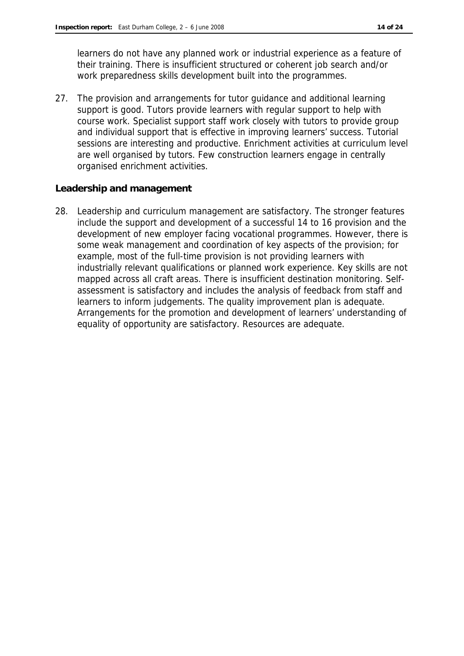learners do not have any planned work or industrial experience as a feature of their training. There is insufficient structured or coherent job search and/or work preparedness skills development built into the programmes.

27. The provision and arrangements for tutor guidance and additional learning support is good. Tutors provide learners with regular support to help with course work. Specialist support staff work closely with tutors to provide group and individual support that is effective in improving learners' success. Tutorial sessions are interesting and productive. Enrichment activities at curriculum level are well organised by tutors. Few construction learners engage in centrally organised enrichment activities.

#### **Leadership and management**

28. Leadership and curriculum management are satisfactory. The stronger features include the support and development of a successful 14 to 16 provision and the development of new employer facing vocational programmes. However, there is some weak management and coordination of key aspects of the provision; for example, most of the full-time provision is not providing learners with industrially relevant qualifications or planned work experience. Key skills are not mapped across all craft areas. There is insufficient destination monitoring. Selfassessment is satisfactory and includes the analysis of feedback from staff and learners to inform judgements. The quality improvement plan is adequate. Arrangements for the promotion and development of learners' understanding of equality of opportunity are satisfactory. Resources are adequate.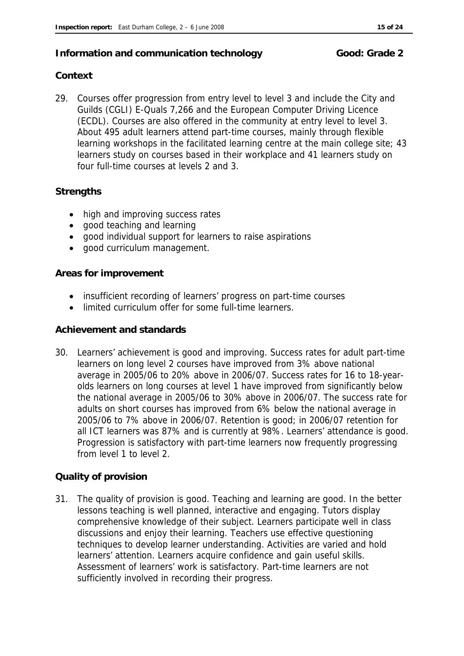#### **Information and communication technology Good: Grade 2**

### **Context**

29. Courses offer progression from entry level to level 3 and include the City and Guilds (CGLI) E-Quals 7,266 and the European Computer Driving Licence (ECDL). Courses are also offered in the community at entry level to level 3. About 495 adult learners attend part-time courses, mainly through flexible learning workshops in the facilitated learning centre at the main college site; 43 learners study on courses based in their workplace and 41 learners study on four full-time courses at levels 2 and 3.

#### **Strengths**

- high and improving success rates
- good teaching and learning
- good individual support for learners to raise aspirations
- good curriculum management.

#### **Areas for improvement**

- insufficient recording of learners' progress on part-time courses
- limited curriculum offer for some full-time learners.

#### **Achievement and standards**

30. Learners' achievement is good and improving. Success rates for adult part-time learners on long level 2 courses have improved from 3% above national average in 2005/06 to 20% above in 2006/07. Success rates for 16 to 18-yearolds learners on long courses at level 1 have improved from significantly below the national average in 2005/06 to 30% above in 2006/07. The success rate for adults on short courses has improved from 6% below the national average in 2005/06 to 7% above in 2006/07. Retention is good; in 2006/07 retention for all ICT learners was 87% and is currently at 98%. Learners' attendance is good. Progression is satisfactory with part-time learners now frequently progressing from level 1 to level 2.

#### **Quality of provision**

31. The quality of provision is good. Teaching and learning are good. In the better lessons teaching is well planned, interactive and engaging. Tutors display comprehensive knowledge of their subject. Learners participate well in class discussions and enjoy their learning. Teachers use effective questioning techniques to develop learner understanding. Activities are varied and hold learners' attention. Learners acquire confidence and gain useful skills. Assessment of learners' work is satisfactory. Part-time learners are not sufficiently involved in recording their progress.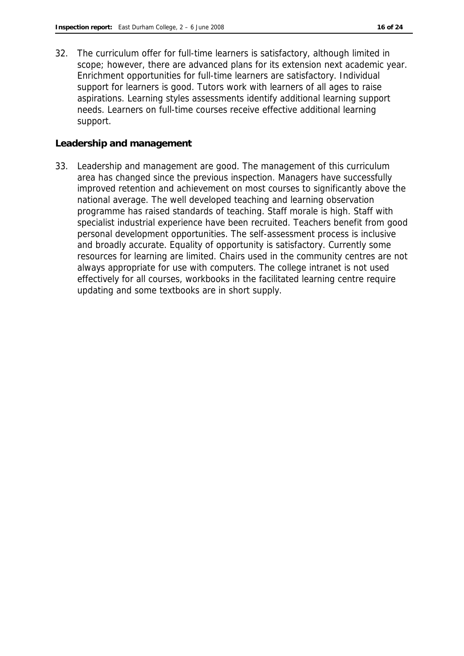32. The curriculum offer for full-time learners is satisfactory, although limited in scope; however, there are advanced plans for its extension next academic year. Enrichment opportunities for full-time learners are satisfactory. Individual support for learners is good. Tutors work with learners of all ages to raise aspirations. Learning styles assessments identify additional learning support needs. Learners on full-time courses receive effective additional learning support.

#### **Leadership and management**

33. Leadership and management are good. The management of this curriculum area has changed since the previous inspection. Managers have successfully improved retention and achievement on most courses to significantly above the national average. The well developed teaching and learning observation programme has raised standards of teaching. Staff morale is high. Staff with specialist industrial experience have been recruited. Teachers benefit from good personal development opportunities. The self-assessment process is inclusive and broadly accurate. Equality of opportunity is satisfactory. Currently some resources for learning are limited. Chairs used in the community centres are not always appropriate for use with computers. The college intranet is not used effectively for all courses, workbooks in the facilitated learning centre require updating and some textbooks are in short supply.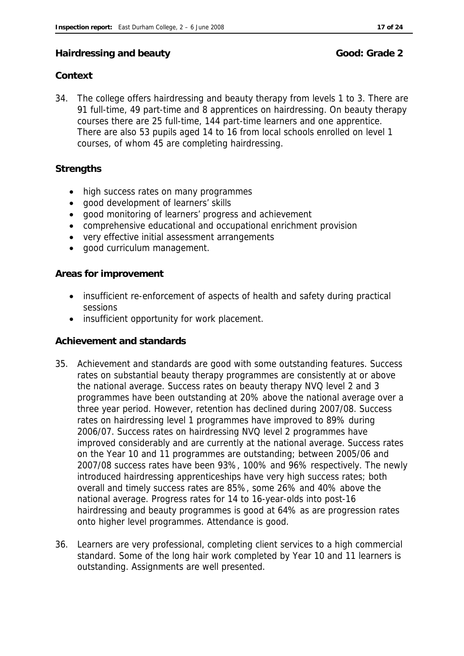#### **Hairdressing and beauty Good: Grade 2 Good: Grade 2**

#### **Context**

34. The college offers hairdressing and beauty therapy from levels 1 to 3. There are 91 full-time, 49 part-time and 8 apprentices on hairdressing. On beauty therapy courses there are 25 full-time, 144 part-time learners and one apprentice. There are also 53 pupils aged 14 to 16 from local schools enrolled on level 1 courses, of whom 45 are completing hairdressing.

#### **Strengths**

- high success rates on many programmes
- good development of learners' skills
- good monitoring of learners' progress and achievement
- comprehensive educational and occupational enrichment provision
- very effective initial assessment arrangements
- good curriculum management.

**Areas for improvement**

- insufficient re-enforcement of aspects of health and safety during practical sessions
- insufficient opportunity for work placement.

#### **Achievement and standards**

- 35. Achievement and standards are good with some outstanding features. Success rates on substantial beauty therapy programmes are consistently at or above the national average. Success rates on beauty therapy NVQ level 2 and 3 programmes have been outstanding at 20% above the national average over a three year period. However, retention has declined during 2007/08. Success rates on hairdressing level 1 programmes have improved to 89% during 2006/07. Success rates on hairdressing NVQ level 2 programmes have improved considerably and are currently at the national average. Success rates on the Year 10 and 11 programmes are outstanding; between 2005/06 and 2007/08 success rates have been 93%, 100% and 96% respectively. The newly introduced hairdressing apprenticeships have very high success rates; both overall and timely success rates are 85%, some 26% and 40% above the national average. Progress rates for 14 to 16-year-olds into post-16 hairdressing and beauty programmes is good at 64% as are progression rates onto higher level programmes. Attendance is good.
- 36. Learners are very professional, completing client services to a high commercial standard. Some of the long hair work completed by Year 10 and 11 learners is outstanding. Assignments are well presented.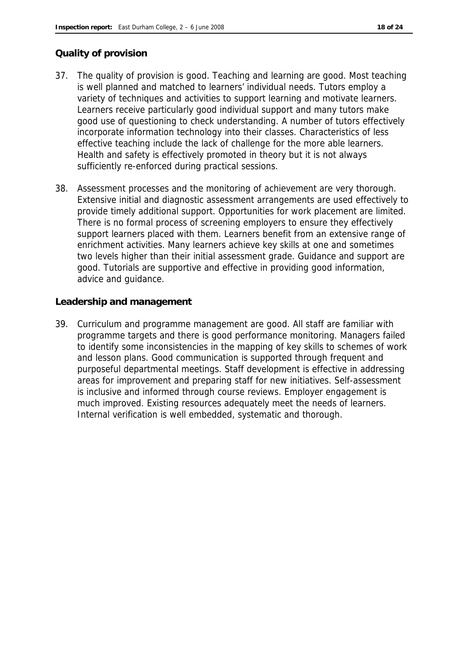#### **Quality of provision**

- 37. The quality of provision is good. Teaching and learning are good. Most teaching is well planned and matched to learners' individual needs. Tutors employ a variety of techniques and activities to support learning and motivate learners. Learners receive particularly good individual support and many tutors make good use of questioning to check understanding. A number of tutors effectively incorporate information technology into their classes. Characteristics of less effective teaching include the lack of challenge for the more able learners. Health and safety is effectively promoted in theory but it is not always sufficiently re-enforced during practical sessions.
- 38. Assessment processes and the monitoring of achievement are very thorough. Extensive initial and diagnostic assessment arrangements are used effectively to provide timely additional support. Opportunities for work placement are limited. There is no formal process of screening employers to ensure they effectively support learners placed with them. Learners benefit from an extensive range of enrichment activities. Many learners achieve key skills at one and sometimes two levels higher than their initial assessment grade. Guidance and support are good. Tutorials are supportive and effective in providing good information, advice and guidance.

**Leadership and management**

39. Curriculum and programme management are good. All staff are familiar with programme targets and there is good performance monitoring. Managers failed to identify some inconsistencies in the mapping of key skills to schemes of work and lesson plans. Good communication is supported through frequent and purposeful departmental meetings. Staff development is effective in addressing areas for improvement and preparing staff for new initiatives. Self-assessment is inclusive and informed through course reviews. Employer engagement is much improved. Existing resources adequately meet the needs of learners. Internal verification is well embedded, systematic and thorough.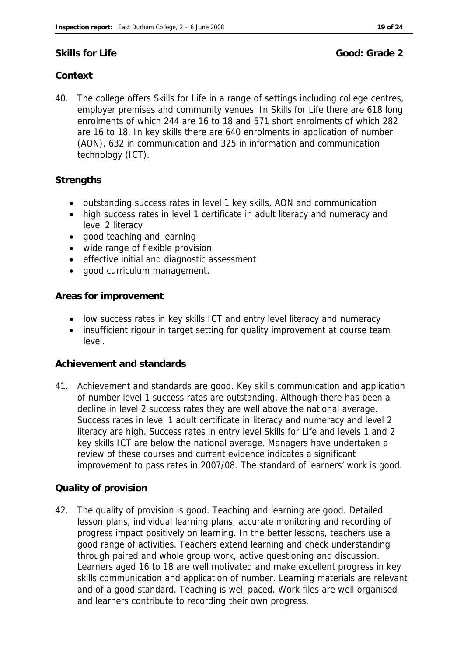**Skills for Life Good: Grade 2** 

### **Context**

40. The college offers Skills for Life in a range of settings including college centres, employer premises and community venues. In Skills for Life there are 618 long enrolments of which 244 are 16 to 18 and 571 short enrolments of which 282 are 16 to 18. In key skills there are 640 enrolments in application of number (AON), 632 in communication and 325 in information and communication technology (ICT).

#### **Strengths**

- outstanding success rates in level 1 key skills, AON and communication
- high success rates in level 1 certificate in adult literacy and numeracy and level 2 literacy
- good teaching and learning
- wide range of flexible provision
- effective initial and diagnostic assessment
- good curriculum management.

**Areas for improvement**

- low success rates in key skills ICT and entry level literacy and numeracy
- insufficient rigour in target setting for quality improvement at course team level.

#### **Achievement and standards**

41. Achievement and standards are good. Key skills communication and application of number level 1 success rates are outstanding. Although there has been a decline in level 2 success rates they are well above the national average. Success rates in level 1 adult certificate in literacy and numeracy and level 2 literacy are high. Success rates in entry level Skills for Life and levels 1 and 2 key skills ICT are below the national average. Managers have undertaken a review of these courses and current evidence indicates a significant improvement to pass rates in 2007/08. The standard of learners' work is good.

#### **Quality of provision**

42. The quality of provision is good. Teaching and learning are good. Detailed lesson plans, individual learning plans, accurate monitoring and recording of progress impact positively on learning. In the better lessons, teachers use a good range of activities. Teachers extend learning and check understanding through paired and whole group work, active questioning and discussion. Learners aged 16 to 18 are well motivated and make excellent progress in key skills communication and application of number. Learning materials are relevant and of a good standard. Teaching is well paced. Work files are well organised and learners contribute to recording their own progress.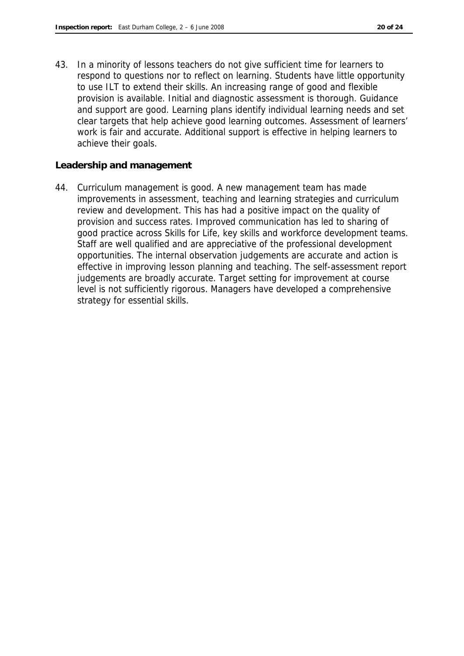43. In a minority of lessons teachers do not give sufficient time for learners to respond to questions nor to reflect on learning. Students have little opportunity to use ILT to extend their skills. An increasing range of good and flexible provision is available. Initial and diagnostic assessment is thorough. Guidance and support are good. Learning plans identify individual learning needs and set clear targets that help achieve good learning outcomes. Assessment of learners' work is fair and accurate. Additional support is effective in helping learners to achieve their goals.

**Leadership and management**

44. Curriculum management is good. A new management team has made improvements in assessment, teaching and learning strategies and curriculum review and development. This has had a positive impact on the quality of provision and success rates. Improved communication has led to sharing of good practice across Skills for Life, key skills and workforce development teams. Staff are well qualified and are appreciative of the professional development opportunities. The internal observation judgements are accurate and action is effective in improving lesson planning and teaching. The self-assessment report judgements are broadly accurate. Target setting for improvement at course level is not sufficiently rigorous. Managers have developed a comprehensive strategy for essential skills.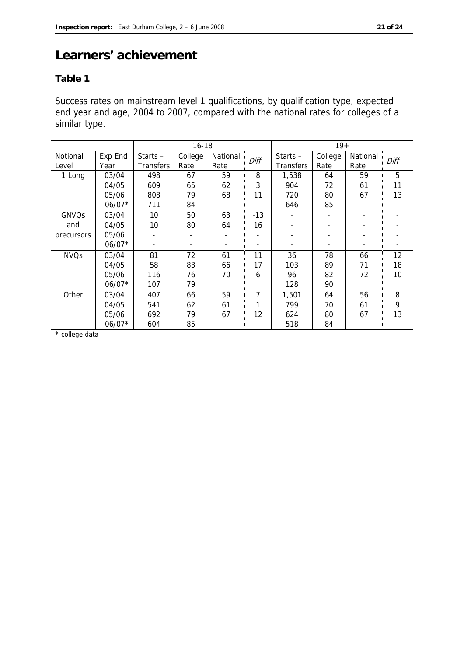## **Learners' achievement**

#### **Table 1**

Success rates on mainstream level 1 qualifications, by qualification type, expected end year and age, 2004 to 2007, compared with the national rates for colleges of a similar type.

|              |          |                  | $16 - 18$ |          |       |                  | $19+$   |            |      |
|--------------|----------|------------------|-----------|----------|-------|------------------|---------|------------|------|
| Notional     | Exp End  | Starts $-$       | College   | National | Diff  | Starts $-$       | College | National 1 | Diff |
| Level        | Year     | <b>Transfers</b> | Rate      | Rate     |       | <b>Transfers</b> | Rate    | Rate       |      |
| 1 Long       | 03/04    | 498              | 67        | 59       | 8     | 1,538            | 64      | 59         | 5    |
|              | 04/05    | 609              | 65        | 62       | 3     | 904              | 72      | 61         | 11   |
|              | 05/06    | 808              | 79        | 68       | 11    | 720              | 80      | 67         | 13   |
|              | $06/07*$ | 711              | 84        |          |       | 646              | 85      |            |      |
| <b>GNVQs</b> | 03/04    | 10               | 50        | 63       | $-13$ |                  |         |            |      |
| and          | 04/05    | 10               | 80        | 64       | 16    |                  |         |            |      |
| precursors   | 05/06    |                  |           |          |       |                  |         |            |      |
|              | $06/07*$ |                  |           |          |       |                  |         |            |      |
| <b>NVQs</b>  | 03/04    | 81               | 72        | 61       | 11    | 36               | 78      | 66         | 12   |
|              | 04/05    | 58               | 83        | 66       | 17    | 103              | 89      | 71         | 18   |
|              | 05/06    | 116              | 76        | 70       | 6     | 96               | 82      | 72         | 10   |
|              | $06/07*$ | 107              | 79        |          |       | 128              | 90      |            |      |
| Other        | 03/04    | 407              | 66        | 59       | 7     | 1,501            | 64      | 56         | 8    |
|              | 04/05    | 541              | 62        | 61       |       | 799              | 70      | 61         | 9    |
|              | 05/06    | 692              | 79        | 67       | 12    | 624              | 80      | 67         | 13   |
|              | $06/07*$ | 604              | 85        |          |       | 518              | 84      |            |      |

\* college data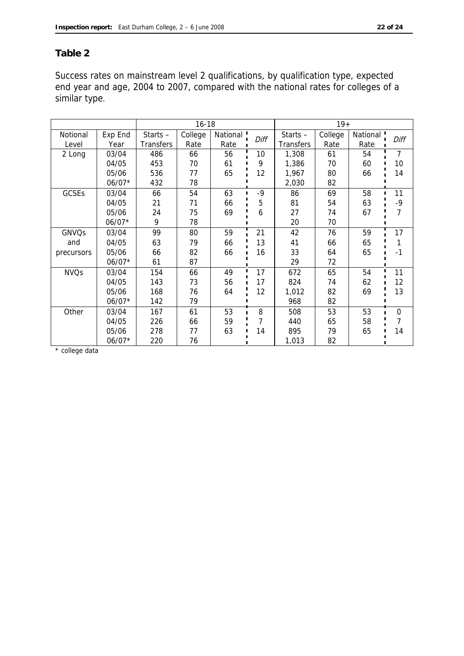#### **Table 2**

Success rates on mainstream level 2 qualifications, by qualification type, expected end year and age, 2004 to 2007, compared with the national rates for colleges of a similar type.

|                   |                 |                             | $16 - 18$       |                  |      | $19+$                          |                 |                  |          |
|-------------------|-----------------|-----------------------------|-----------------|------------------|------|--------------------------------|-----------------|------------------|----------|
| Notional<br>Level | Exp End<br>Year | Starts-<br><b>Transfers</b> | College<br>Rate | National<br>Rate | Diff | Starts $-$<br><b>Transfers</b> | College<br>Rate | National<br>Rate | Diff     |
| 2 Long            | 03/04           | 486                         | 66              | 56               | 10   | 1,308                          | 61              | 54               | 7        |
|                   | 04/05           | 453                         | 70              | 61               | 9    | 1,386                          | 70              | 60               | 10       |
|                   | 05/06           | 536                         | 77              | 65               | 12   | 1,967                          | 80              | 66               | 14       |
|                   | $06/07*$        | 432                         | 78              |                  |      | 2,030                          | 82              |                  |          |
| <b>GCSEs</b>      | 03/04           | 66                          | 54              | 63               | $-9$ | 86                             | 69              | 58               | 11       |
|                   | 04/05           | 21                          | 71              | 66               | 5    | 81                             | 54              | 63               | -9       |
|                   | 05/06           | 24                          | 75              | 69               | 6    | 27                             | 74              | 67               | 7        |
|                   | $06/07*$        | 9                           | 78              |                  |      | 20                             | 70              |                  |          |
| <b>GNVQs</b>      | 03/04           | 99                          | 80              | 59               | 21   | 42                             | 76              | 59               | 17       |
| and               | 04/05           | 63                          | 79              | 66               | 13   | 41                             | 66              | 65               |          |
| precursors        | 05/06           | 66                          | 82              | 66               | 16   | 33                             | 64              | 65               | $-1$     |
|                   | $06/07*$        | 61                          | 87              |                  |      | 29                             | 72              |                  |          |
| <b>NVQs</b>       | 03/04           | 154                         | 66              | 49               | 17   | 672                            | 65              | 54               | 11       |
|                   | 04/05           | 143                         | 73              | 56               | 17   | 824                            | 74              | 62               | 12       |
|                   | 05/06           | 168                         | 76              | 64               | 12   | 1,012                          | 82              | 69               | 13       |
|                   | $06/07*$        | 142                         | 79              |                  |      | 968                            | 82              |                  |          |
| Other             | 03/04           | 167                         | 61              | 53               | 8    | 508                            | 53              | 53               | $\Omega$ |
|                   | 04/05           | 226                         | 66              | 59               | 7    | 440                            | 65              | 58               |          |
|                   | 05/06           | 278                         | 77              | 63               | 14   | 895                            | 79              | 65               | 14       |
|                   | $06/07*$        | 220                         | 76              |                  |      | 1,013                          | 82              |                  |          |

\* college data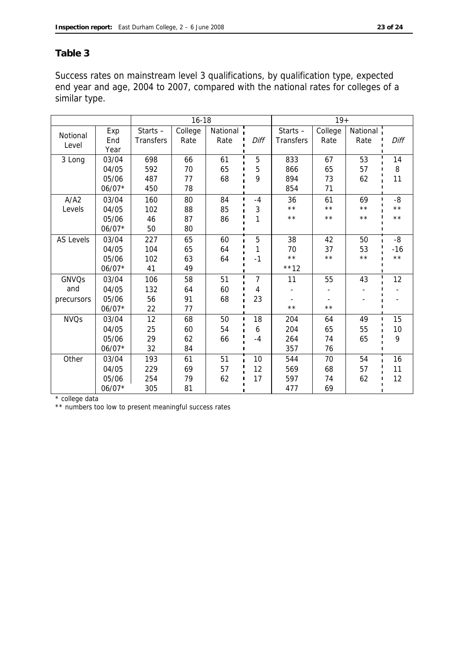#### **Table 3**

Success rates on mainstream level 3 qualifications, by qualification type, expected end year and age, 2004 to 2007, compared with the national rates for colleges of a similar type.

|                   |                    |                                | $16 - 18$       |                  |      |                                | $19+$           |                  |                |
|-------------------|--------------------|--------------------------------|-----------------|------------------|------|--------------------------------|-----------------|------------------|----------------|
| Notional<br>Level | Exp<br>End<br>Year | Starts $-$<br><b>Transfers</b> | College<br>Rate | National<br>Rate | Diff | Starts $-$<br><b>Transfers</b> | College<br>Rate | National<br>Rate | Diff           |
| 3 Long            | 03/04              | 698                            | 66              | 61               | 5    | 833                            | 67              | 53               | 14             |
|                   | 04/05              | 592                            | 70              | 65               | 5    | 866                            | 65              | 57               | 8              |
|                   | 05/06              | 487                            | 77              | 68               | 9    | 894                            | 73              | 62               | 11             |
|                   | 06/07*             | 450                            | 78              |                  |      | 854                            | 71              |                  |                |
| A/A2              | 03/04              | 160                            | 80              | 84               | $-4$ | 36                             | 61              | 69<br>п          | -8             |
| Levels            | 04/05              | 102                            | 88              | 85               | 3    | $\star\star$                   | $\star\star$    | $\star\star$     | $\star \star$  |
|                   | 05/06              | 46                             | 87              | 86               | 1    | $\star\star$                   | $\star\,\star$  | $\star\star$     | $\star\star$   |
|                   | $06/07*$           | 50                             | 80              |                  |      |                                |                 |                  |                |
| AS Levels         | 03/04              | 227                            | 65              | 60               | 5    | 38                             | 42              | 50               | $-8$           |
|                   | 04/05              | 104                            | 65              | 64               | 1    | 70                             | 37              | 53               | $-16$          |
|                   | 05/06              | 102                            | 63              | 64               | $-1$ | $\star\star$                   | $\star\star$    | $\star\star$     | $\star\,\star$ |
|                   | $06/07*$           | 41                             | 49              |                  |      | $***12$                        |                 |                  |                |
| GNVQs             | 03/04              | 106                            | 58              | 51               | 7    | 11                             | 55              | 43               | 12             |
| and               | 04/05              | 132                            | 64              | 60               | 4    |                                |                 |                  |                |
| precursors        | 05/06              | 56                             | 91              | 68               | 23   |                                |                 |                  |                |
|                   | 06/07*             | 22                             | 77              |                  |      | $\star\star$                   | $\star\star$    |                  |                |
| <b>NVQs</b>       | 03/04              | 12                             | 68              | 50               | 18   | 204                            | 64              | 49<br>П          | 15             |
|                   | 04/05              | 25                             | 60              | 54               | 6    | 204                            | 65              | 55               | 10             |
|                   | 05/06              | 29                             | 62              | 66               | $-4$ | 264                            | 74              | 65               | 9              |
|                   | $06/07*$           | 32                             | 84              |                  |      | 357                            | 76              |                  |                |
| Other             | 03/04              | 193                            | 61              | 51               | 10   | 544                            | 70              | 54               | 16             |
|                   | 04/05              | 229                            | 69              | 57               | 12   | 569                            | 68              | 57               | 11             |
|                   | 05/06              | 254                            | 79              | 62               | 17   | 597                            | 74              | 62               | 12             |
|                   | $06/07*$           | 305                            | 81              |                  |      | 477                            | 69              |                  |                |

\* college data

\*\* numbers too low to present meaningful success rates